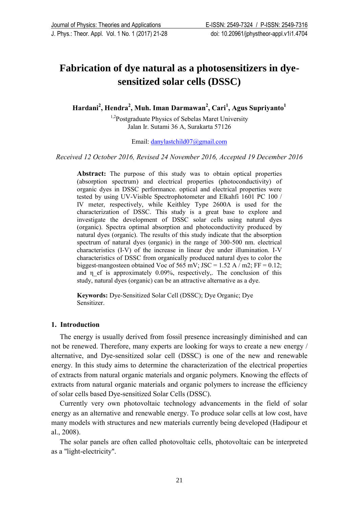# **Fabrication of dye natural as a photosensitizers in dyesensitized solar cells (DSSC)**

**Hardani<sup>2</sup> , Hendra<sup>2</sup> , Muh. Iman Darmawan<sup>2</sup> , Cari<sup>1</sup> , Agus Supriyanto<sup>1</sup>**

<sup>1,2</sup>Postgraduate Physics of Sebelas Maret University Jalan Ir. Sutami 36 A, Surakarta 57126

Email: [danylastchild07@gmail.com](mailto:danylastchild07@gmail.com)

*Received 12 October 2016, Revised 24 November 2016, Accepted 19 December 2016*

**Abstract:** The purpose of this study was to obtain optical properties (absorption spectrum) and electrical properties (photoconductivity) of organic dyes in DSSC performance. optical and electrical properties were tested by using UV-Visible Spectrophotometer and Elkahfi 1601 PC 100 / IV meter, respectively, while Keithley Type 2600A is used for the characterization of DSSC. This study is a great base to explore and investigate the development of DSSC solar cells using natural dyes (organic). Spectra optimal absorption and photoconductivity produced by natural dyes (organic). The results of this study indicate that the absorption spectrum of natural dyes (organic) in the range of 300-500 nm. electrical characteristics (I-V) of the increase in linear dye under illumination. I-V characteristics of DSSC from organically produced natural dyes to color the biggest-mangosteen obtained Voc of 565 mV; JSC = 1.52 A / m2; FF = 0.12; and  $\eta$  ef is approximately 0.09%, respectively,. The conclusion of this study, natural dyes (organic) can be an attractive alternative as a dye.

**Keywords:** Dye-Sensitized Solar Cell (DSSC); Dye Organic; Dye Sensitizer.

## **1. Introduction**

The energy is usually derived from fossil presence increasingly diminished and can not be renewed. Therefore, many experts are looking for ways to create a new energy / alternative, and Dye-sensitized solar cell (DSSC) is one of the new and renewable energy. In this study aims to determine the characterization of the electrical properties of extracts from natural organic materials and organic polymers. Knowing the effects of extracts from natural organic materials and organic polymers to increase the efficiency of solar cells based Dye-sensitized Solar Cells (DSSC).

Currently very own photovoltaic technology advancements in the field of solar energy as an alternative and renewable energy. To produce solar cells at low cost, have many models with structures and new materials currently being developed (Hadipour et al., 2008).

The solar panels are often called photovoltaic cells, photovoltaic can be interpreted as a "light-electricity".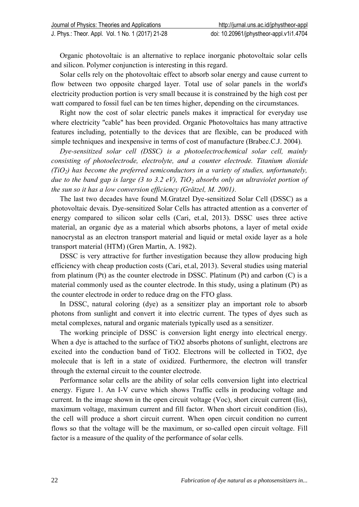Organic photovoltaic is an alternative to replace inorganic photovoltaic solar cells and silicon. Polymer conjunction is interesting in this regard.

Solar cells rely on the photovoltaic effect to absorb solar energy and cause current to flow between two opposite charged layer. Total use of solar panels in the world's electricity production portion is very small because it is constrained by the high cost per watt compared to fossil fuel can be ten times higher, depending on the circumstances.

Right now the cost of solar electric panels makes it impractical for everyday use where electricity "cable" has been provided. Organic Photovoltaics has many attractive features including, potentially to the devices that are flexible, can be produced with simple techniques and inexpensive in terms of cost of manufacture (Brabec.C.J. 2004).

*Dye-sensitized solar cell (DSSC) is a photoelectrochemical solar cell, mainly consisting of photoelectrode, electrolyte, and a counter electrode. Titanium dioxide (TiO2) has become the preferred semiconductors in a variety of studies, unfortunately, due to the band gap is large (3 to 3.2 eV), TiO<sup>2</sup> absorbs only an ultraviolet portion of the sun so it has a low conversion efficiency (Grätzel, M. 2001).*

The last two decades have found M.Gratzel Dye-sensitized Solar Cell (DSSC) as a photovoltaic devais. Dye-sensitized Solar Cells has attracted attention as a converter of energy compared to silicon solar cells (Cari, et.al, 2013). DSSC uses three active material, an organic dye as a material which absorbs photons, a layer of metal oxide nanocrystal as an electron transport material and liquid or metal oxide layer as a hole transport material (HTM) (Gren Martin, A. 1982).

DSSC is very attractive for further investigation because they allow producing high efficiency with cheap production costs (Cari, et.al, 2013). Several studies using material from platinum (Pt) as the counter electrode in DSSC. Platinum (Pt) and carbon (C) is a material commonly used as the counter electrode. In this study, using a platinum (Pt) as the counter electrode in order to reduce drag on the FTO glass.

In DSSC, natural coloring (dye) as a sensitizer play an important role to absorb photons from sunlight and convert it into electric current. The types of dyes such as metal complexes, natural and organic materials typically used as a sensitizer.

The working principle of DSSC is conversion light energy into electrical energy. When a dye is attached to the surface of TiO2 absorbs photons of sunlight, electrons are excited into the conduction band of TiO2. Electrons will be collected in TiO2, dye molecule that is left in a state of oxidized. Furthermore, the electron will transfer through the external circuit to the counter electrode.

Performance solar cells are the ability of solar cells conversion light into electrical energy. Figure 1. An I-V curve which shows Traffic cells in producing voltage and current. In the image shown in the open circuit voltage (Voc), short circuit current (Iis), maximum voltage, maximum current and fill factor. When short circuit condition (Iis), the cell will produce a short circuit current. When open circuit condition no current flows so that the voltage will be the maximum, or so-called open circuit voltage. Fill factor is a measure of the quality of the performance of solar cells.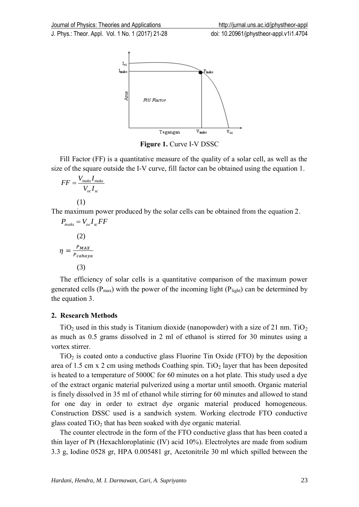

**Figure 1.** Curve I-V DSSC

Fill Factor (FF) is a quantitative measure of the quality of a solar cell, as well as the size of the square outside the I-V curve, fill factor can be obtained using the equation 1.

$$
FF = \frac{V_{\text{maks}}I_{\text{maks}}}{V_{oc}I_{\text{sc}}}
$$

$$
(1)
$$

The maximum power produced by the solar cells can be obtained from the equation 2.

$$
P_{maks} = V_{oc}I_{sc}FF
$$
  
(2)  

$$
\eta = \frac{P_{MAX}}{P_{cahaya}}
$$
  
(3)

The efficiency of solar cells is a quantitative comparison of the maximum power generated cells ( $P_{max}$ ) with the power of the incoming light ( $P_{light}$ ) can be determined by the equation 3.

## **2. Research Methods**

 $TiO<sub>2</sub>$  used in this study is Titanium dioxide (nanopowder) with a size of 21 nm. TiO<sub>2</sub> as much as 0.5 grams dissolved in 2 ml of ethanol is stirred for 30 minutes using a vortex stirrer.

 $TiO<sub>2</sub>$  is coated onto a conductive glass Fluorine Tin Oxide (FTO) by the deposition area of 1.5 cm x 2 cm using methods Coathing spin. TiO<sub>2</sub> layer that has been deposited is heated to a temperature of 5000C for 60 minutes on a hot plate. This study used a dye of the extract organic material pulverized using a mortar until smooth. Organic material is finely dissolved in 35 ml of ethanol while stirring for 60 minutes and allowed to stand for one day in order to extract dye organic material produced homogeneous. Construction DSSC used is a sandwich system. Working electrode FTO conductive glass coated TiO<sup>2</sup> that has been soaked with dye organic material*.*

The counter electrode in the form of the FTO conductive glass that has been coated a thin layer of Pt (Hexachloroplatinic (IV) acid 10%). Electrolytes are made from sodium 3.3 g, Iodine 0528 gr, HPA 0.005481 gr, Acetonitrile 30 ml which spilled between the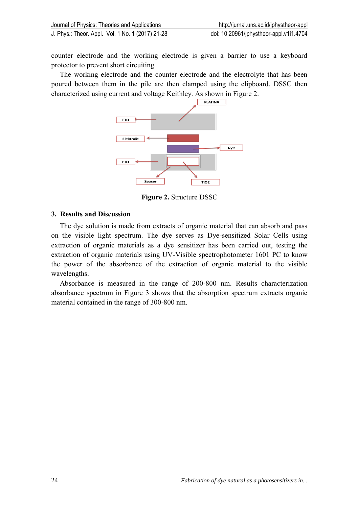counter electrode and the working electrode is given a barrier to use a keyboard protector to prevent short circuiting.

The working electrode and the counter electrode and the electrolyte that has been poured between them in the pile are then clamped using the clipboard. DSSC then characterized using current and voltage Keithley. As shown in Figure 2.



**Figure 2.** Structure DSSC

## **3. Results and Discussion**

The dye solution is made from extracts of organic material that can absorb and pass on the visible light spectrum. The dye serves as Dye-sensitized Solar Cells using extraction of organic materials as a dye sensitizer has been carried out, testing the extraction of organic materials using UV-Visible spectrophotometer 1601 PC to know the power of the absorbance of the extraction of organic material to the visible wavelengths.

Absorbance is measured in the range of 200-800 nm. Results characterization absorbance spectrum in Figure 3 shows that the absorption spectrum extracts organic material contained in the range of 300-800 nm.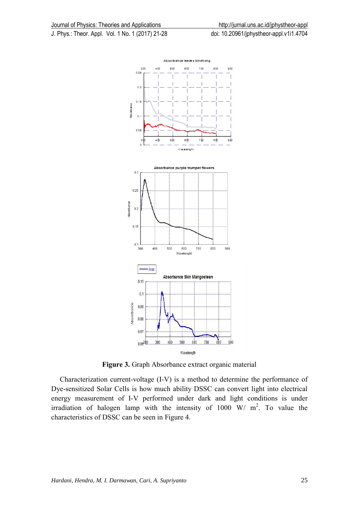

**Figure 3.** Graph Absorbance extract organic material

Characterization current-voltage (I-V) is a method to determine the performance of Dye-sensitized Solar Cells is how much ability DSSC can convert light into electrical energy measurement of I-V performed under dark and light conditions is under irradiation of halogen lamp with the intensity of  $1000 \text{ W/m}^2$ . To value the characteristics of DSSC can be seen in Figure 4.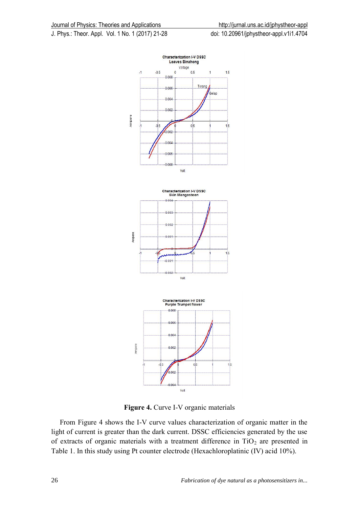





**Figure 4.** Curve I-V organic materials

From Figure 4 shows the I-V curve values characterization of organic matter in the light of current is greater than the dark current. DSSC efficiencies generated by the use of extracts of organic materials with a treatment difference in  $TiO<sub>2</sub>$  are presented in Table 1. In this study using Pt counter electrode (Hexachloroplatinic (IV) acid 10%).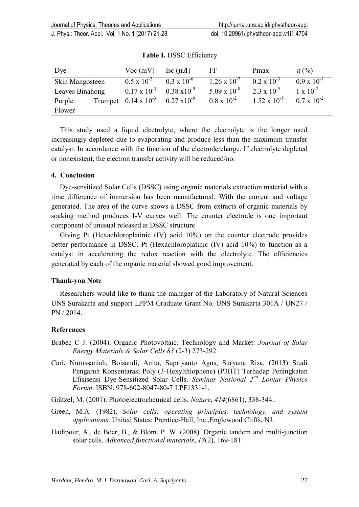| Dye             |  | $Voc$ (mV)                                          | $\operatorname{Isc}(\mu A)$ | FF                    | Pmax                  | $\eta$ (%)           |
|-----------------|--|-----------------------------------------------------|-----------------------------|-----------------------|-----------------------|----------------------|
| Skin Mangosteen |  | $0.5 \times 10^{-3}$                                | $0.3 \times 10^{-6}$        | $1.26 \times 10^{-7}$ | $0.2 \times 10^{-3}$  | $0.9 \times 10^{-1}$ |
| Leaves Binahong |  | $0.17 \times 10^{-3}$ $0.38 \times 10^{-9}$         |                             | $5.09 \times 10^{-8}$ | $2.3 \times 10^{-5}$  | $1 \times 10^{-2}$   |
| Purple          |  | Trumpet $0.14 \times 10^{-3}$ $0.27 \times 10^{-9}$ |                             | $0.8 \times 10^{-2}$  | $1.52 \times 10^{-5}$ | $0.7 \times 10^{-2}$ |
| Flower          |  |                                                     |                             |                       |                       |                      |

**Table I.** DSSC Efficiency

This study used a liquid electrolyte, where the electrolyte is the longer used increasingly depleted due to evaporating and produce less than the maximum transfer catalyst. In accordance with the function of the electrode/charge. If electrolyte depleted or nonexistent, the electron transfer activity will be reduced/no.

## **4. Conclusion**

Dye-sensitized Solar Cells (DSSC) using organic materials extraction material with a time difference of immersion has been manufactured. With the current and voltage generated. The area of the curve shows a DSSC from extracts of organic materials by soaking method produces I-V curves well. The counter electrode is one important component of unusual released at DSSC structure.

Giving Pt (Hexachloroplatinic (IV) acid 10%) on the counter electrode provides better performance in DSSC. Pt (Hexachloroplatinic (IV) acid 10%) to function as a catalyst in accelerating the redox reaction with the electrolyte. The efficiencies generated by each of the organic material showed good improvement.

## **Thank-you Note**

Researchers would like to thank the manager of the Laboratory of Natural Sciences UNS Surakarta and support LPPM Graduate Grant No. UNS Surakarta 301A / UN27 / PN / 2014.

## **References**

- Brabec C J. (2004). Organic Photovoltaic: Technology and Market. *Journal of Solar Energy Materials & Solar Cells 83* (2-3) 273-292
- Cari, Nurussaniah, Boisandi, Anita, Supriyanto Agus, Suryana Risa. (2013) Studi Pengaruh Konsentarasi Poly (3-Hexylthiophene) (P3HT) Terhadap Peningkatan Efisisensi Dye-Sensitized Solar Cells. *Seminar Nasional 2nd Lontar Physics Forum*. ISBN: 978-602-8047-80-7:LPF1331-1.
- Grätzel, M. (2001). Photoelectrochemical cells. *Nature*, *414*(6861), 338-344..
- Green, M.A. (1982). *Solar cells: operating principles, technology, and system applications*. United States: Prentice-Hall, Inc.,Englewood Cliffs, NJ.
- Hadipour, A., de Boer, B., & Blom, P. W. (2008). Organic tandem and multi-junction solar cells. *Advanced functional materials*, *18*(2), 169-181.